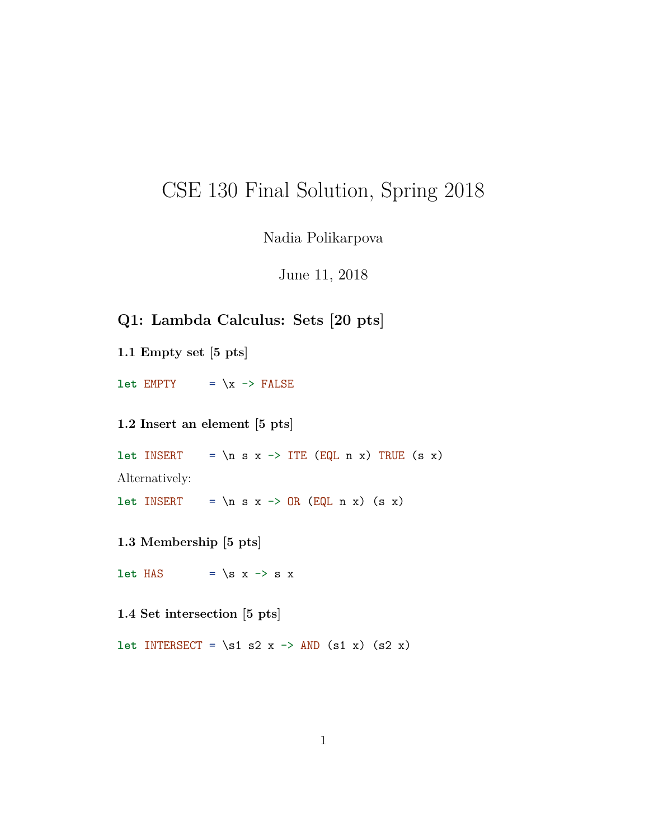# CSE 130 Final Solution, Spring 2018

Nadia Polikarpova

June 11, 2018

### **Q1: Lambda Calculus: Sets [20 pts]**

**1.1 Empty set [5 pts]**

 $let$  EMPTY =  $\x \rightarrow x$  -> FALSE

**1.2 Insert an element [5 pts]**

 $let INSENT = \nightharpoonup x \rightarrow ITE (EQL n x) TRUE (s x)$ Alternatively:

let INSERT =  $n s x \rightarrow OR (EQL n x) (s x)$ 

**1.3 Membership [5 pts]**

 $let$  HAS = \s x -> s x

**1.4 Set intersection [5 pts]**

let INTERSECT =  $\s1 s2 x \rightarrow AND (s1 x) (s2 x)$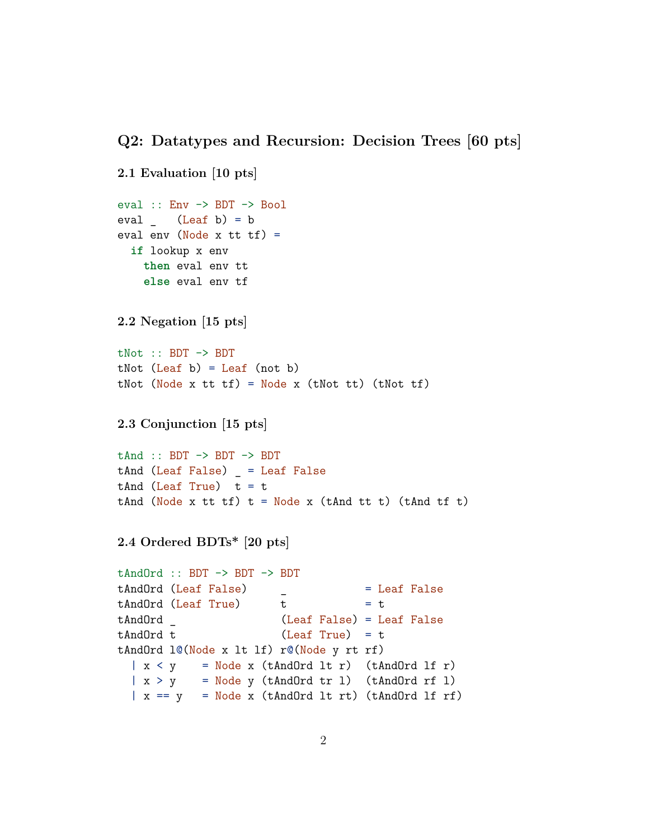#### **Q2: Datatypes and Recursion: Decision Trees [60 pts]**

```
2.1 Evaluation [10 pts]
eval :: Env -> BDT -> Bool
eval (Lear b) = beval env (Node x tt tf) =
 if lookup x env
   then eval env tt
   else eval env tf
2.2 Negation [15 pts]
tNot :: BDT -> BDT
tNot (Leaf b) = Leaf (not b)
tNot (Node x tt tf) = Node x (tNot tt) (tNot tf)
2.3 Conjunction [15 pts]
tAnd :: BDT -> BDT -> BDT
tAnd (Leaf False) _ = Leaf False
tAnd (Leaf True) t = ttAnd (Node x tt tf) t = Node x (tAnd tt t) (tAnd tf t)
2.4 Ordered BDTs* [20 pts]
tAndOrd :: BDT -> BDT -> BDT
tAndOrd (Leaf False) = Leaf False
tAndOrd (Leaf True) t = ttAndOrd (Leaf False) = Leaf False
tAndOrd t (Leaf True) = ttAndOrd l@(Node x lt lf) r@(Node y rt rf)
 |x \leq y = Node x (tAndOrd lt r) (tAndOrd lf r)
 |x > y = Node y (tAndOrd tr 1) (tAndOrd rf 1)
 | x == y = Node x (tAndOrd 1t rt) (tAndOrd 1f rf)
```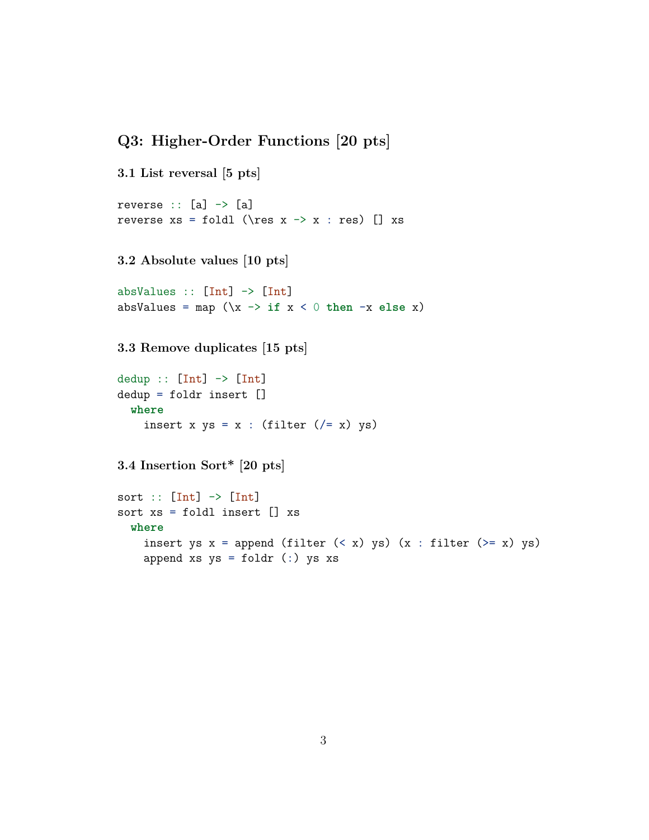## **Q3: Higher-Order Functions [20 pts]**

reverse  $xs = fold \(\res x \rightarrow x : res) [] xs$ 

```
3.1 List reversal [5 pts]
reverse :: [a] \rightarrow [a]
```
#### **3.2 Absolute values [10 pts]**

```
absValues :: [Int] \rightarrow [Int]
absValues = map (\x + x \cdot 0 \text{ then } -x \text{ else } x)
```
**3.3 Remove duplicates [15 pts]**

```
dedup :: [Int] -> [Int]dedup = foldr insert []
 where
    insert x ys = x : (filter ((= x) ys)
```
**3.4 Insertion Sort\* [20 pts]**

```
sort :: [Int] \rightarrow [Int]
sort xs = foldl insert [] xs
  where
    insert ys x = append (filter (<math>x</math>) ys) (x : filter (>= x) ys)
    append xs ys = foldr (:) ys xs
```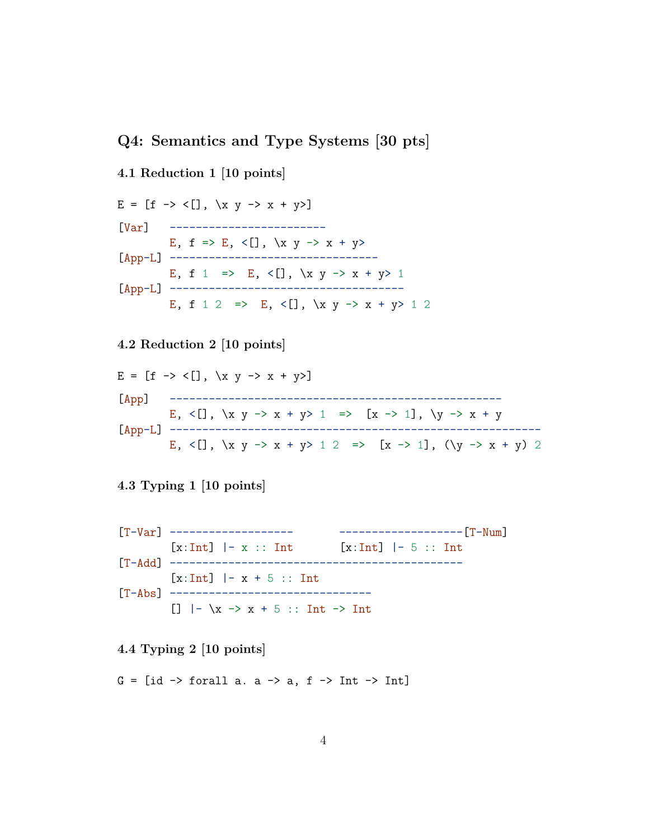# **Q4: Semantics and Type Systems [30 pts]**

#### **4.1 Reduction 1 [10 points]**

 $E = [f \rightarrow \langle [] , \ \rangle x \ y \rightarrow x + y \rangle]$ [Var] ------------------------ E,  $f \Rightarrow E$ ,  $\langle$ [],  $\chi$  y -> x + y> [App-L] -------------------------------- E, f 1 => E, <[], \x y -> x + y> 1 [App-L] ------------------------------------ E, f 1 2 => E, <[], \x y -> x + y> 1 2

#### **4.2 Reduction 2 [10 points]**

$$
E = [f \rightarrow \langle 0], \{x \ y \rightarrow x + y\}]\
$$
\n[App]   
\n
$$
E, \langle 0, \{x \ y \rightarrow x + y\} \ 1 \implies [x \rightarrow 1], \{y \rightarrow x + y\} \ 1 \longrightarrow [App-L] \nE, \langle 0, \{x \ y \rightarrow x + y\} \ 1 \implies [x \rightarrow 1], \{y \rightarrow x + y\} \ 1 \longrightarrow [X, \{0\}]\}
$$
\n[App-L]   
\n
$$
E, \langle 0, \{x \ y \rightarrow x + y\} \ 1 \ 2 \implies [x \rightarrow 1], \{y \rightarrow x + y\} \ 2 \longrightarrow [X, \{0\}]\}
$$

#### **4.3 Typing 1 [10 points]**

| $[T-Var]$ --------------------                               |  |                      |  |
|--------------------------------------------------------------|--|----------------------|--|
| $[x:Int]$ $\vdash x :: Int$                                  |  | $[x:Int]$ $ -5::Int$ |  |
| [T-Add] --------------------                                 |  |                      |  |
| $[x:Int]$ $ -x + 5$ :: Int                                   |  |                      |  |
| [T-Abs] -------------------------------                      |  |                      |  |
| $\begin{bmatrix} \end{bmatrix}$  - \x -> x + 5 :: Int -> Int |  |                      |  |

## **4.4 Typing 2 [10 points]**

 $G = [id \rightarrow forall a. a \rightarrow a, f \rightarrow Int \rightarrow Int]$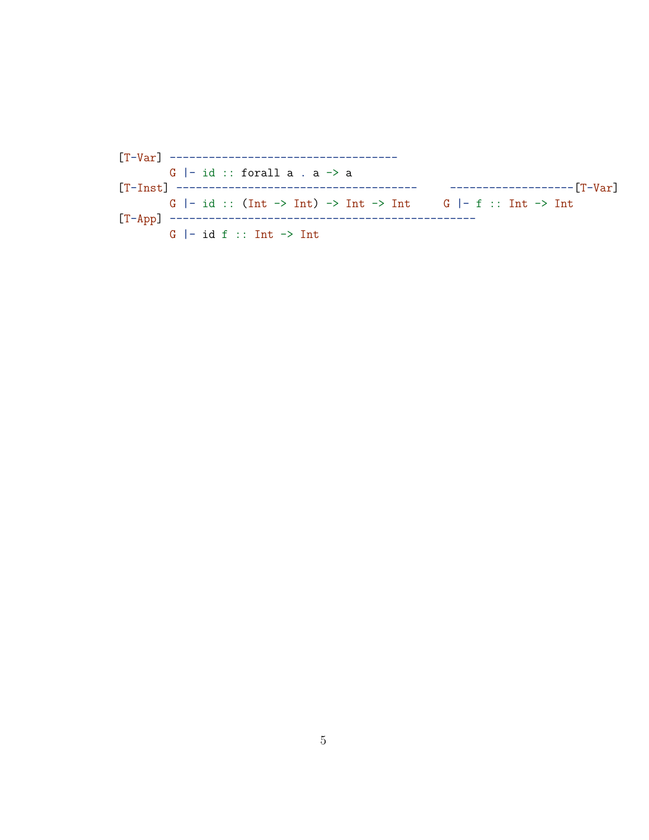| $G$  - id :: forall a . a -> a                                      |                            |
|---------------------------------------------------------------------|----------------------------|
|                                                                     | -------------------[T-Var] |
| $G$  - id :: (Int -> Int) -> Int -> Int -> Int G  - f :: Int -> Int |                            |
|                                                                     |                            |
| $G$  - id f :: Int -> Int                                           |                            |